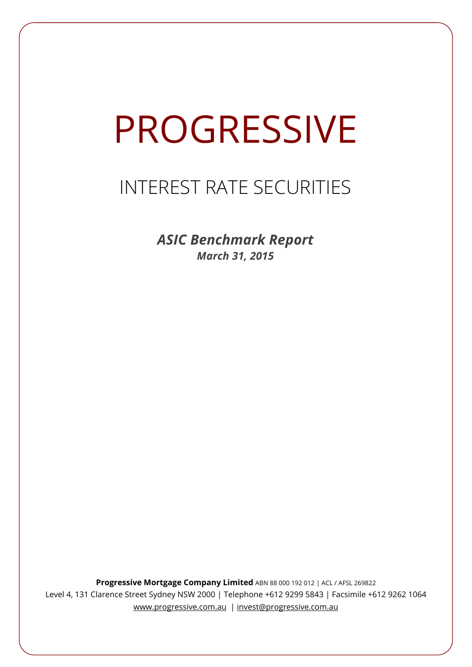# PROGRESSIVE

# INTEREST RATE SECURITIES

*ASIC Benchmark Report March 31, 2015*

**Progressive Mortgage Company Limited** ABN 88 000 192 012 | ACL / AFSL 269822 Level 4, 131 Clarence Street Sydney NSW 2000 | Telephone +612 9299 5843 | Facsimile +612 9262 1064 www.progressive.com.au | invest@progressive.com.au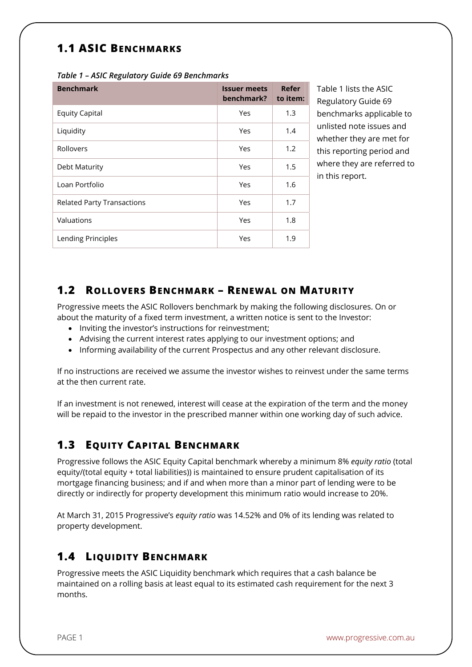# **1.1 ASIC BENCHMARKS**

| <b>Benchmark</b>                  | <b>Issuer meets</b><br>benchmark? | Refer<br>to item: |
|-----------------------------------|-----------------------------------|-------------------|
| <b>Equity Capital</b>             | Yes                               | 1.3               |
| Liquidity                         | Yes                               | 1.4               |
| Rollovers                         | Yes                               | 1.2               |
| Debt Maturity                     | Yes                               | 1.5               |
| Loan Portfolio                    | Yes                               | 1.6               |
| <b>Related Party Transactions</b> | Yes                               | 1.7               |
| Valuations                        | Yes                               | 1.8               |
| Lending Principles                | Yes                               | 1.9               |

*Table 1 – ASIC Regulatory Guide 69 Benchmarks* 

Table 1 lists the ASIC Regulatory Guide 69 benchmarks applicable to unlisted note issues and whether they are met for this reporting period and where they are referred to in this report.

#### **1.2 ROLLOVERS BENCHMARK – RENEWAL ON MATURITY**

Progressive meets the ASIC Rollovers benchmark by making the following disclosures. On or about the maturity of a fixed term investment, a written notice is sent to the Investor:

- Inviting the investor's instructions for reinvestment:
- Advising the current interest rates applying to our investment options; and
- Informing availability of the current Prospectus and any other relevant disclosure.

If no instructions are received we assume the investor wishes to reinvest under the same terms at the then current rate.

If an investment is not renewed, interest will cease at the expiration of the term and the money will be repaid to the investor in the prescribed manner within one working day of such advice.

## **1.3 EQUITY CAPITAL BENCHMARK**

Progressive follows the ASIC Equity Capital benchmark whereby a minimum 8% *equity ratio* (total equity/(total equity + total liabilities)) is maintained to ensure prudent capitalisation of its mortgage financing business; and if and when more than a minor part of lending were to be directly or indirectly for property development this minimum ratio would increase to 20%.

At March 31, 2015 Progressive's *equity ratio* was 14.52% and 0% of its lending was related to property development.

#### **1.4 LIQUIDITY BENCHMARK**

Progressive meets the ASIC Liquidity benchmark which requires that a cash balance be maintained on a rolling basis at least equal to its estimated cash requirement for the next 3 months.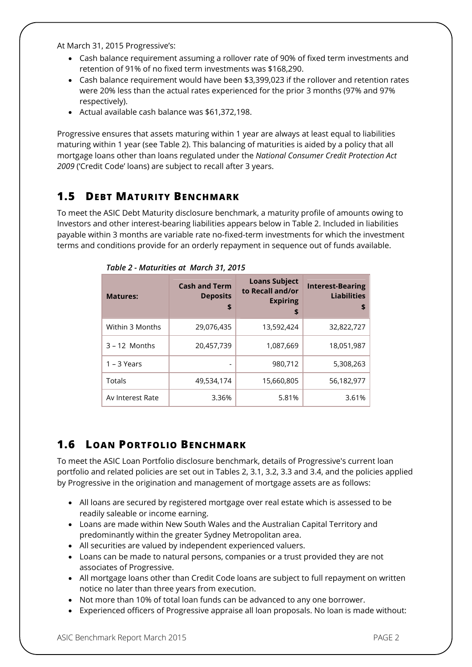At March 31, 2015 Progressive's:

- Cash balance requirement assuming a rollover rate of 90% of fixed term investments and retention of 91% of no fixed term investments was \$168,290.
- Cash balance requirement would have been \$3,399,023 if the rollover and retention rates were 20% less than the actual rates experienced for the prior 3 months (97% and 97% respectively).
- Actual available cash balance was \$61,372,198.

Progressive ensures that assets maturing within 1 year are always at least equal to liabilities maturing within 1 year (see Table 2). This balancing of maturities is aided by a policy that all mortgage loans other than loans regulated under the *National Consumer Credit Protection Act 2009* ('Credit Code' loans) are subject to recall after 3 years.

#### **1.5 DEBT MATURITY BENCHMARK**

To meet the ASIC Debt Maturity disclosure benchmark, a maturity profile of amounts owing to Investors and other interest-bearing liabilities appears below in Table 2. Included in liabilities payable within 3 months are variable rate no-fixed-term investments for which the investment terms and conditions provide for an orderly repayment in sequence out of funds available.

| <b>Matures:</b>  | <b>Cash and Term</b><br><b>Deposits</b><br>\$ | <b>Loans Subject</b><br>to Recall and/or<br><b>Expiring</b><br>\$ | <b>Interest-Bearing</b><br><b>Liabilities</b><br>\$ |
|------------------|-----------------------------------------------|-------------------------------------------------------------------|-----------------------------------------------------|
| Within 3 Months  | 29,076,435                                    | 13,592,424                                                        | 32,822,727                                          |
| $3 - 12$ Months  | 20,457,739                                    | 1,087,669                                                         | 18,051,987                                          |
| $1 - 3$ Years    | -                                             | 980,712                                                           | 5,308,263                                           |
| Totals           | 49,534,174                                    | 15,660,805                                                        | 56,182,977                                          |
| Av Interest Rate | 3.36%                                         | 5.81%                                                             | 3.61%                                               |

*Table 2 - Maturities at March 31, 2015*

## **1.6 LOAN PORTFOLIO BENCHMARK**

To meet the ASIC Loan Portfolio disclosure benchmark, details of Progressive's current loan portfolio and related policies are set out in Tables 2, 3.1, 3.2, 3.3 and 3.4, and the policies applied by Progressive in the origination and management of mortgage assets are as follows:

- All loans are secured by registered mortgage over real estate which is assessed to be readily saleable or income earning.
- Loans are made within New South Wales and the Australian Capital Territory and predominantly within the greater Sydney Metropolitan area.
- All securities are valued by independent experienced valuers.
- Loans can be made to natural persons, companies or a trust provided they are not associates of Progressive.
- All mortgage loans other than Credit Code loans are subject to full repayment on written notice no later than three years from execution.
- Not more than 10% of total loan funds can be advanced to any one borrower.
- Experienced officers of Progressive appraise all loan proposals. No loan is made without: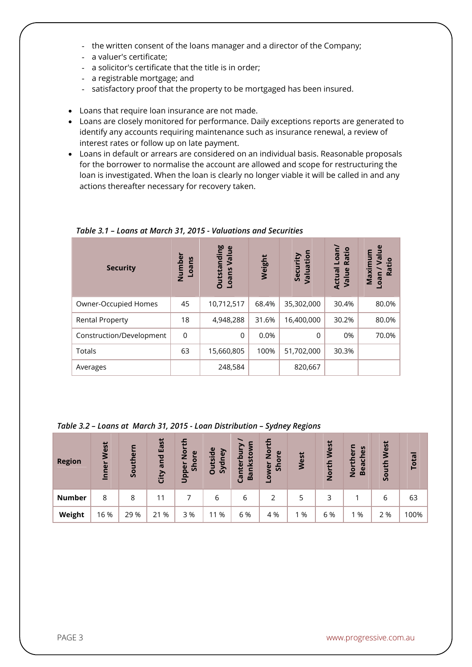- the written consent of the loans manager and a director of the Company;
- a valuer's certificate;
- a solicitor's certificate that the title is in order;
- a registrable mortgage; and
- satisfactory proof that the property to be mortgaged has been insured.
- Loans that require loan insurance are not made.
- Loans are closely monitored for performance. Daily exceptions reports are generated to identify any accounts requiring maintenance such as insurance renewal, a review of interest rates or follow up on late payment.
- Loans in default or arrears are considered on an individual basis. Reasonable proposals for the borrower to normalise the account are allowed and scope for restructuring the loan is investigated. When the loan is clearly no longer viable it will be called in and any actions thereafter necessary for recovery taken.

| <b>Security</b>          | Number<br>ns<br><b>Bo1</b> | <b>Outstanding</b><br>Value<br>Loans | Weight | Security<br>Valuation | Loan/<br>Ratio<br>Actual<br>Value | $\mathbf{e}$<br>ε<br>$\omega$<br>Maximu<br>Ratio<br>oan |
|--------------------------|----------------------------|--------------------------------------|--------|-----------------------|-----------------------------------|---------------------------------------------------------|
| Owner-Occupied Homes     | 45                         | 10,712,517                           | 68.4%  | 35,302,000            | 30.4%                             | 80.0%                                                   |
| <b>Rental Property</b>   | 18                         | 4,948,288                            | 31.6%  | 16,400,000            | 30.2%                             | 80.0%                                                   |
| Construction/Development | $\overline{0}$             | $\Omega$                             | 0.0%   | $\Omega$              | 0%                                | 70.0%                                                   |
| Totals                   | 63                         | 15,660,805                           | 100%   | 51,702,000            | 30.3%                             |                                                         |
| Averages                 |                            | 248,584                              |        | 820,667               |                                   |                                                         |

*Table 3.1 – Loans at March 31, 2015 - Valuations and Securities*

#### *Table 3.2 – Loans at March 31, 2015 - Loan Distribution – Sydney Regions*

| <b>Region</b> | West<br>Inner | Southern | East<br>and<br>City | ō<br>Z<br>$\omega$<br>ă<br>$\overline{5}$<br>$\omega$<br><b>Dapp</b> | utside<br>ney<br>Syd<br>O | ь<br>nksto<br>٩<br>Canter<br>Ba | ∓<br>$\bar{8}$<br>$\omega$<br>Shor<br>-owe | West | West<br>th<br>$\overline{2}$ | မိ<br>$\omega$<br>$\overline{v}$<br>Bea<br>$\bar{8}$ | West<br>th<br><u>ق</u> | <b>Total</b> |
|---------------|---------------|----------|---------------------|----------------------------------------------------------------------|---------------------------|---------------------------------|--------------------------------------------|------|------------------------------|------------------------------------------------------|------------------------|--------------|
| <b>Number</b> | 8             | 8        | 11                  |                                                                      | 6                         | 6                               |                                            | 5    | 3                            |                                                      | 6                      | 63           |
| Weight        | 16 %          | 29 %     | %<br>21             | 3%                                                                   | %<br>11                   | 6 %                             | 4 %                                        | %    | 6 %                          | 1 %                                                  | 2 %                    | 100%         |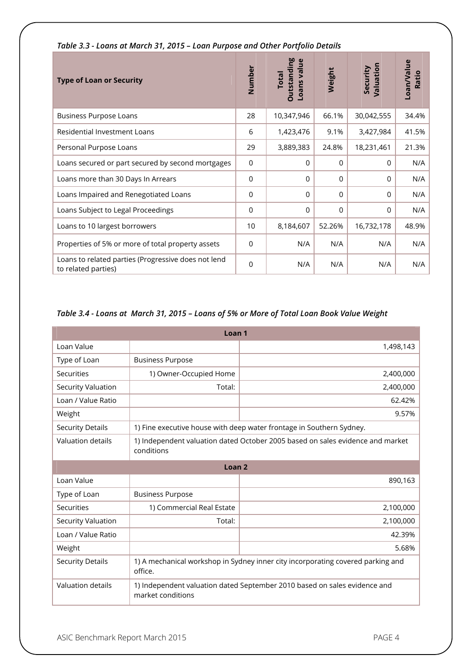| <b>Type of Loan or Security</b>                                            | Number          | <b>Outstanding</b><br>Loans value<br><b>Total</b> | Weight   | Valuation<br>Security | Loan/Value<br>Ratio |
|----------------------------------------------------------------------------|-----------------|---------------------------------------------------|----------|-----------------------|---------------------|
| <b>Business Purpose Loans</b>                                              | 28              | 10,347,946                                        | 66.1%    | 30,042,555            | 34.4%               |
| <b>Residential Investment Loans</b>                                        | 6               | 1,423,476                                         | 9.1%     | 3,427,984             | 41.5%               |
| Personal Purpose Loans                                                     | 29              | 3,889,383                                         | 24.8%    | 18,231,461            | 21.3%               |
| Loans secured or part secured by second mortgages                          | $\mathbf 0$     | $\Omega$                                          | $\Omega$ | $\Omega$              | N/A                 |
| Loans more than 30 Days In Arrears                                         | 0               | $\mathbf{0}$                                      | $\Omega$ | $\Omega$              | N/A                 |
| Loans Impaired and Renegotiated Loans                                      | 0               | 0                                                 | $\Omega$ | $\Omega$              | N/A                 |
| Loans Subject to Legal Proceedings                                         | $\overline{0}$  | $\Omega$                                          | $\Omega$ | $\Omega$              | N/A                 |
| Loans to 10 largest borrowers                                              | 10 <sup>1</sup> | 8,184,607                                         | 52.26%   | 16,732,178            | 48.9%               |
| Properties of 5% or more of total property assets                          | $\overline{0}$  | N/A                                               | N/A      | N/A                   | N/A                 |
| Loans to related parties (Progressive does not lend<br>to related parties) | $\Omega$        | N/A                                               | N/A      | N/A                   | N/A                 |

#### *Table 3.3 - Loans at March 31, 2015 – Loan Purpose and Other Portfolio Details*

#### *Table 3.4 - Loans at March 31, 2015 – Loans of 5% or More of Total Loan Book Value Weight*

| Loan <sub>1</sub>        |                                                                                                |                                                                      |  |  |  |  |
|--------------------------|------------------------------------------------------------------------------------------------|----------------------------------------------------------------------|--|--|--|--|
| Loan Value               |                                                                                                | 1,498,143                                                            |  |  |  |  |
| Type of Loan             | <b>Business Purpose</b>                                                                        |                                                                      |  |  |  |  |
| Securities               | 1) Owner-Occupied Home                                                                         | 2,400,000                                                            |  |  |  |  |
| Security Valuation       | Total:                                                                                         | 2,400,000                                                            |  |  |  |  |
| Loan / Value Ratio       |                                                                                                | 62.42%                                                               |  |  |  |  |
| Weight                   |                                                                                                | 9.57%                                                                |  |  |  |  |
| <b>Security Details</b>  |                                                                                                | 1) Fine executive house with deep water frontage in Southern Sydney. |  |  |  |  |
| <b>Valuation details</b> | 1) Independent valuation dated October 2005 based on sales evidence and market<br>conditions   |                                                                      |  |  |  |  |
| Loan <sub>2</sub>        |                                                                                                |                                                                      |  |  |  |  |
| Loan Value               |                                                                                                | 890,163                                                              |  |  |  |  |
| Type of Loan             | <b>Business Purpose</b>                                                                        |                                                                      |  |  |  |  |
| Securities               | 1) Commercial Real Estate                                                                      | 2,100,000                                                            |  |  |  |  |
| Security Valuation       | Total:                                                                                         | 2,100,000                                                            |  |  |  |  |
| Loan / Value Ratio       |                                                                                                | 42.39%                                                               |  |  |  |  |
| Weight                   |                                                                                                | 5.68%                                                                |  |  |  |  |
| <b>Security Details</b>  | 1) A mechanical workshop in Sydney inner city incorporating covered parking and<br>office.     |                                                                      |  |  |  |  |
| Valuation details        | 1) Independent valuation dated September 2010 based on sales evidence and<br>market conditions |                                                                      |  |  |  |  |